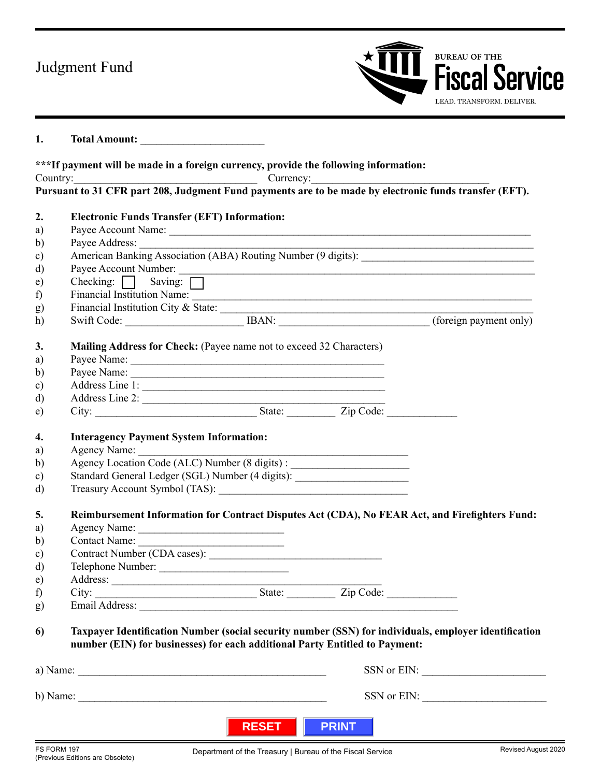## Judgment Fund



## **1. Total Amount:** \_\_\_\_\_\_\_\_\_\_\_\_\_\_\_\_\_\_\_\_\_\_\_

|               | ***If payment will be made in a foreign currency, provide the following information:                                                                                                 |              |              |  |
|---------------|--------------------------------------------------------------------------------------------------------------------------------------------------------------------------------------|--------------|--------------|--|
|               | Country: Country: Currency:                                                                                                                                                          |              |              |  |
|               | Pursuant to 31 CFR part 208, Judgment Fund payments are to be made by electronic funds transfer (EFT).                                                                               |              |              |  |
| 2.            | <b>Electronic Funds Transfer (EFT) Information:</b>                                                                                                                                  |              |              |  |
| a)            |                                                                                                                                                                                      |              |              |  |
| $\mathbf{b}$  |                                                                                                                                                                                      |              |              |  |
| $\mathbf{c})$ |                                                                                                                                                                                      |              |              |  |
| d)            |                                                                                                                                                                                      |              |              |  |
| e)            | Checking: $\Box$ Saving: $\Box$                                                                                                                                                      |              |              |  |
| f)            | Financial Institution Name:                                                                                                                                                          |              |              |  |
| g)            | Financial Institution City & State: $\frac{1}{2}$                                                                                                                                    |              |              |  |
| h)            |                                                                                                                                                                                      |              |              |  |
| 3.            | Mailing Address for Check: (Payee name not to exceed 32 Characters)                                                                                                                  |              |              |  |
| a)            |                                                                                                                                                                                      |              |              |  |
| $\mathbf{b}$  |                                                                                                                                                                                      |              |              |  |
| $\mathbf{c})$ | Address Line 1:                                                                                                                                                                      |              |              |  |
| d)            |                                                                                                                                                                                      |              |              |  |
| e)            |                                                                                                                                                                                      |              |              |  |
| 4.            | <b>Interagency Payment System Information:</b>                                                                                                                                       |              |              |  |
| a)            |                                                                                                                                                                                      |              |              |  |
| b)            | Agency Location Code (ALC) Number (8 digits) :                                                                                                                                       |              |              |  |
| $\mathbf{c})$ | Standard General Ledger (SGL) Number (4 digits): _______________________________                                                                                                     |              |              |  |
| d)            |                                                                                                                                                                                      |              |              |  |
| 5.            | Reimbursement Information for Contract Disputes Act (CDA), No FEAR Act, and Firefighters Fund:                                                                                       |              |              |  |
| a)            | Agency Name:                                                                                                                                                                         |              |              |  |
| b)            | Contact Name:                                                                                                                                                                        |              |              |  |
| $\mathbf{c})$ |                                                                                                                                                                                      |              |              |  |
| d)            | Telephone Number:                                                                                                                                                                    |              |              |  |
| e)            |                                                                                                                                                                                      |              |              |  |
| f             | City:                                                                                                                                                                                | State:       | Zip Code:    |  |
| g)            | <u> 1989 - Johann Stein, marwolaethau a bhann an t-Amhain an t-Amhain an t-Amhain an t-Amhain an t-Amhain an t-A</u>                                                                 |              |              |  |
|               |                                                                                                                                                                                      |              |              |  |
| 6             | Taxpayer Identification Number (social security number (SSN) for individuals, employer identification<br>number (EIN) for businesses) for each additional Party Entitled to Payment: |              |              |  |
|               |                                                                                                                                                                                      |              |              |  |
|               | a) Name: $\frac{1}{2}$                                                                                                                                                               |              |              |  |
|               |                                                                                                                                                                                      |              |              |  |
|               |                                                                                                                                                                                      |              |              |  |
|               |                                                                                                                                                                                      | <b>RESET</b> | <b>PRINT</b> |  |